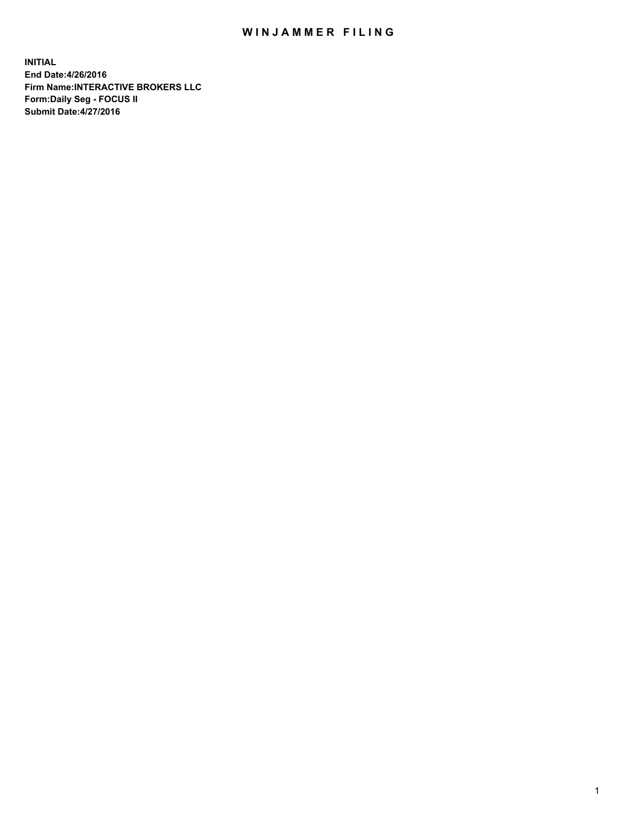## WIN JAMMER FILING

**INITIAL End Date:4/26/2016 Firm Name:INTERACTIVE BROKERS LLC Form:Daily Seg - FOCUS II Submit Date:4/27/2016**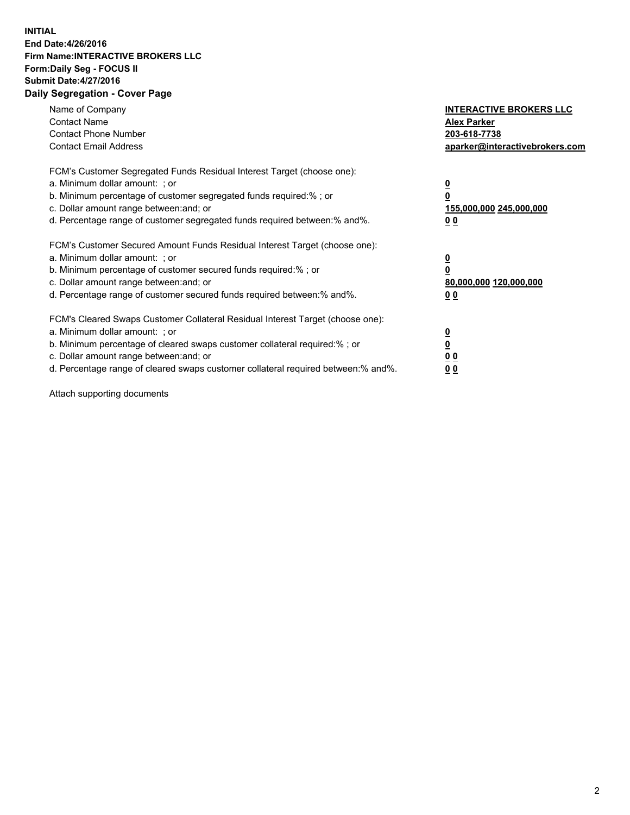## **INITIAL End Date:4/26/2016 Firm Name:INTERACTIVE BROKERS LLC Form:Daily Seg - FOCUS II Submit Date:4/27/2016 Daily Segregation - Cover Page**

| Name of Company<br><b>Contact Name</b><br><b>Contact Phone Number</b><br><b>Contact Email Address</b>                                                                                                                                                                                                                         | <b>INTERACTIVE BROKERS LLC</b><br><b>Alex Parker</b><br>203-618-7738<br>aparker@interactivebrokers.com |
|-------------------------------------------------------------------------------------------------------------------------------------------------------------------------------------------------------------------------------------------------------------------------------------------------------------------------------|--------------------------------------------------------------------------------------------------------|
| FCM's Customer Segregated Funds Residual Interest Target (choose one):<br>a. Minimum dollar amount: ; or<br>b. Minimum percentage of customer segregated funds required:% ; or<br>c. Dollar amount range between: and; or<br>d. Percentage range of customer segregated funds required between:% and%.                        | <u>0</u><br>155,000,000 245,000,000<br>0 <sub>0</sub>                                                  |
| FCM's Customer Secured Amount Funds Residual Interest Target (choose one):<br>a. Minimum dollar amount: ; or<br>b. Minimum percentage of customer secured funds required:%; or<br>c. Dollar amount range between: and; or<br>d. Percentage range of customer secured funds required between: % and %.                         | <u>0</u><br>80,000,000 120,000,000<br><u>00</u>                                                        |
| FCM's Cleared Swaps Customer Collateral Residual Interest Target (choose one):<br>a. Minimum dollar amount: ; or<br>b. Minimum percentage of cleared swaps customer collateral required:%; or<br>c. Dollar amount range between: and; or<br>d. Percentage range of cleared swaps customer collateral required between:% and%. | <u>0</u><br>0 <sub>0</sub><br>0 <sub>0</sub>                                                           |

Attach supporting documents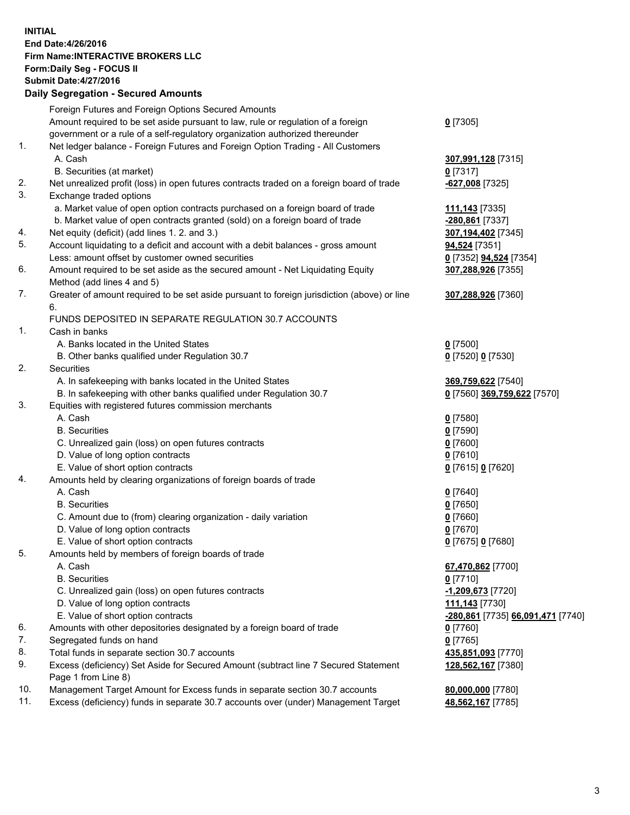## **INITIAL End Date:4/26/2016 Firm Name:INTERACTIVE BROKERS LLC Form:Daily Seg - FOCUS II Submit Date:4/27/2016 Daily Segregation - Secured Amounts**

|     | Dany Ocgregation - Oceanea Annoanta                                                         |                                   |
|-----|---------------------------------------------------------------------------------------------|-----------------------------------|
|     | Foreign Futures and Foreign Options Secured Amounts                                         |                                   |
|     | Amount required to be set aside pursuant to law, rule or regulation of a foreign            | $0$ [7305]                        |
|     | government or a rule of a self-regulatory organization authorized thereunder                |                                   |
| 1.  | Net ledger balance - Foreign Futures and Foreign Option Trading - All Customers             |                                   |
|     | A. Cash                                                                                     | 307,991,128 [7315]                |
|     | B. Securities (at market)                                                                   | $0$ [7317]                        |
| 2.  | Net unrealized profit (loss) in open futures contracts traded on a foreign board of trade   | -627,008 [7325]                   |
| 3.  | Exchange traded options                                                                     |                                   |
|     | a. Market value of open option contracts purchased on a foreign board of trade              | <u>111,143</u> [7335]             |
|     | b. Market value of open contracts granted (sold) on a foreign board of trade                | -280,861 [7337]                   |
| 4.  | Net equity (deficit) (add lines 1.2. and 3.)                                                | 307,194,402 [7345]                |
| 5.  | Account liquidating to a deficit and account with a debit balances - gross amount           | 94,524 [7351]                     |
|     | Less: amount offset by customer owned securities                                            | 0 [7352] 94,524 [7354]            |
| 6.  | Amount required to be set aside as the secured amount - Net Liquidating Equity              | 307,288,926 [7355]                |
|     | Method (add lines 4 and 5)                                                                  |                                   |
| 7.  | Greater of amount required to be set aside pursuant to foreign jurisdiction (above) or line | 307,288,926 [7360]                |
|     | 6.                                                                                          |                                   |
|     | FUNDS DEPOSITED IN SEPARATE REGULATION 30.7 ACCOUNTS                                        |                                   |
| 1.  | Cash in banks                                                                               |                                   |
|     | A. Banks located in the United States                                                       | $0$ [7500]                        |
|     | B. Other banks qualified under Regulation 30.7                                              | 0 [7520] 0 [7530]                 |
| 2.  | Securities                                                                                  |                                   |
|     | A. In safekeeping with banks located in the United States                                   | 369,759,622 [7540]                |
|     | B. In safekeeping with other banks qualified under Regulation 30.7                          | 0 [7560] 369,759,622 [7570]       |
| 3.  | Equities with registered futures commission merchants                                       |                                   |
|     | A. Cash                                                                                     | $0$ [7580]                        |
|     | <b>B.</b> Securities                                                                        | $0$ [7590]                        |
|     | C. Unrealized gain (loss) on open futures contracts                                         | $0$ [7600]                        |
|     | D. Value of long option contracts                                                           | $0$ [7610]                        |
|     | E. Value of short option contracts                                                          | 0 [7615] 0 [7620]                 |
| 4.  | Amounts held by clearing organizations of foreign boards of trade                           |                                   |
|     | A. Cash                                                                                     | $0$ [7640]                        |
|     | <b>B.</b> Securities                                                                        | $0$ [7650]                        |
|     | C. Amount due to (from) clearing organization - daily variation                             | $0$ [7660]                        |
|     | D. Value of long option contracts                                                           | $0$ [7670]                        |
|     | E. Value of short option contracts                                                          | 0 [7675] 0 [7680]                 |
| 5.  | Amounts held by members of foreign boards of trade                                          |                                   |
|     | A. Cash                                                                                     | 67,470,862 [7700]                 |
|     | <b>B.</b> Securities                                                                        | $0$ [7710]                        |
|     | C. Unrealized gain (loss) on open futures contracts                                         | -1,209,673 [7720]                 |
|     | D. Value of long option contracts                                                           | 111,143 [7730]                    |
|     | E. Value of short option contracts                                                          | -280,861 [7735] 66,091,471 [7740] |
| 6.  | Amounts with other depositories designated by a foreign board of trade                      | 0 [7760]                          |
| 7.  | Segregated funds on hand                                                                    | $0$ [7765]                        |
| 8.  | Total funds in separate section 30.7 accounts                                               | 435,851,093 [7770]                |
| 9.  | Excess (deficiency) Set Aside for Secured Amount (subtract line 7 Secured Statement         | 128,562,167 [7380]                |
|     | Page 1 from Line 8)                                                                         |                                   |
| 10. | Management Target Amount for Excess funds in separate section 30.7 accounts                 | 80,000,000 [7780]                 |
| 11. | Excess (deficiency) funds in separate 30.7 accounts over (under) Management Target          | 48,562,167 [7785]                 |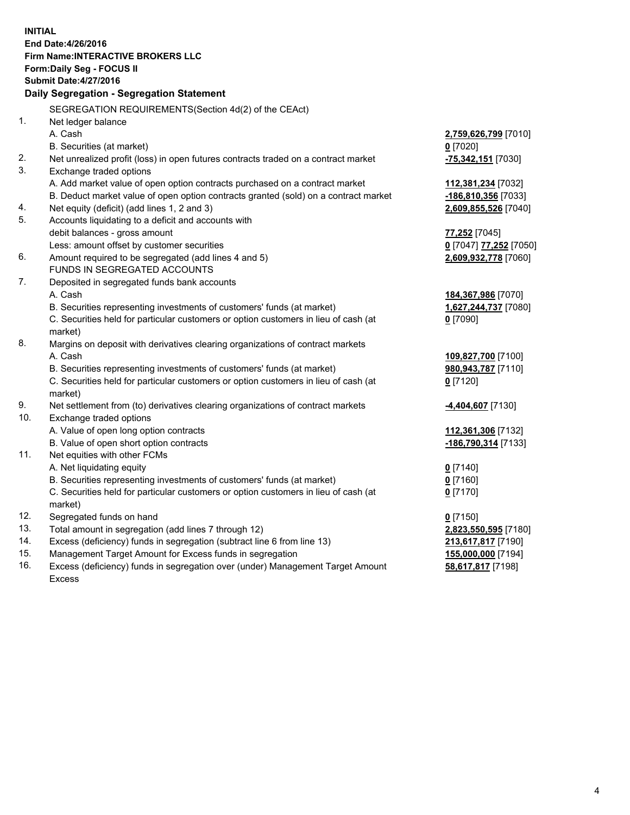**INITIAL End Date:4/26/2016 Firm Name:INTERACTIVE BROKERS LLC Form:Daily Seg - FOCUS II Submit Date:4/27/2016 Daily Segregation - Segregation Statement** SEGREGATION REQUIREMENTS(Section 4d(2) of the CEAct) 1. Net ledger balance A. Cash **2,759,626,799** [7010] B. Securities (at market) **0** [7020] 2. Net unrealized profit (loss) in open futures contracts traded on a contract market **-75,342,151** [7030] 3. Exchange traded options A. Add market value of open option contracts purchased on a contract market **112,381,234** [7032] B. Deduct market value of open option contracts granted (sold) on a contract market **-186,810,356** [7033] 4. Net equity (deficit) (add lines 1, 2 and 3) **2,609,855,526** [7040] 5. Accounts liquidating to a deficit and accounts with debit balances - gross amount **77,252** [7045] Less: amount offset by customer securities **0** [7047] **77,252** [7050] 6. Amount required to be segregated (add lines 4 and 5) **2,609,932,778** [7060] FUNDS IN SEGREGATED ACCOUNTS 7. Deposited in segregated funds bank accounts A. Cash **184,367,986** [7070] B. Securities representing investments of customers' funds (at market) **1,627,244,737** [7080] C. Securities held for particular customers or option customers in lieu of cash (at market) **0** [7090] 8. Margins on deposit with derivatives clearing organizations of contract markets A. Cash **109,827,700** [7100] B. Securities representing investments of customers' funds (at market) **980,943,787** [7110] C. Securities held for particular customers or option customers in lieu of cash (at market) **0** [7120] 9. Net settlement from (to) derivatives clearing organizations of contract markets **-4,404,607** [7130] 10. Exchange traded options A. Value of open long option contracts **112,361,306** [7132] B. Value of open short option contracts **-186,790,314** [7133] 11. Net equities with other FCMs A. Net liquidating equity **0** [7140] B. Securities representing investments of customers' funds (at market) **0** [7160] C. Securities held for particular customers or option customers in lieu of cash (at market) **0** [7170] 12. Segregated funds on hand **0** [7150] 13. Total amount in segregation (add lines 7 through 12) **2,823,550,595** [7180] 14. Excess (deficiency) funds in segregation (subtract line 6 from line 13) **213,617,817** [7190] 15. Management Target Amount for Excess funds in segregation **155,000,000** [7194] 16. Excess (deficiency) funds in segregation over (under) Management Target Amount Excess **58,617,817** [7198]